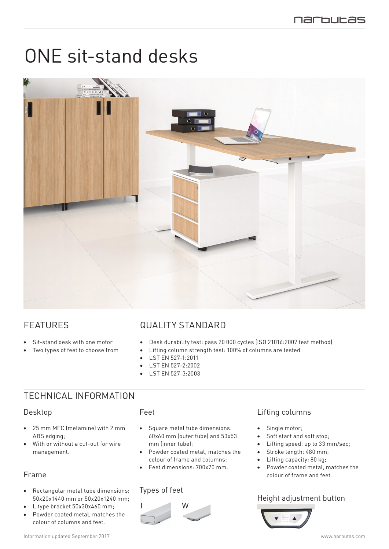# ONE sit-stand desks



## FEATURES

- Sit-stand desk with one motor
- Two types of feet to choose from

## QUALITY STANDARD

- • Desk durability test: pass 20 000 cycles (ISO 21016:2007 test method)
- Lifting column strength test: 100% of columns are tested
- LST EN 527-1:2011
- LST EN 527-2:2002
- LST EN 527-3:2003

## TECHNICAL INFORMATION

#### Desktop

- 25 mm MFC (melamine) with 2 mm ABS edging;
- • With or without a cut-out for wire management.

### Frame

- Rectangular metal tube dimensions: 50x20x1440 mm or 50x20x1240 mm;
- L type bracket 50x30x460 mm:
- Powder coated metal, matches the colour of columns and feet.

#### Feet

- Square metal tube dimensions: 60x60 mm (outer tube) and 53x53 mm (inner tube);
- Powder coated metal, matches the colour of frame and columns;
- Feet dimensions: 700x70 mm.

#### Types of feet



### Lifting columns

- Single motor:
- Soft start and soft stop;
- Lifting speed: up to 33 mm/sec;
- Stroke length: 480 mm;
- Lifting capacity: 80 kg:
- Powder coated metal, matches the colour of frame and feet.

### Height adjustment button